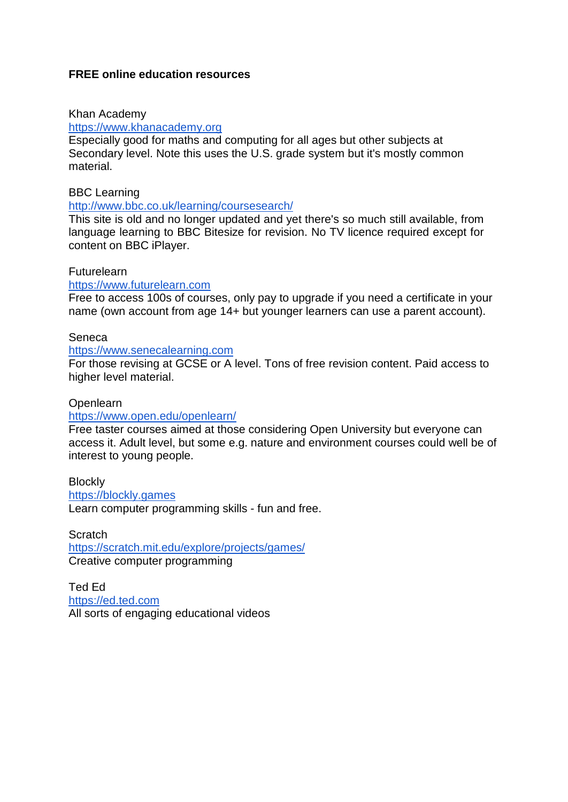# **FREE online education resources**

## Khan Academy

### [https://www.khanacademy.org](https://www.khanacademy.org/)

Especially good for maths and computing for all ages but other subjects at Secondary level. Note this uses the U.S. grade system but it's mostly common material.

## BBC Learning

#### <http://www.bbc.co.uk/learning/coursesearch/>

This site is old and no longer updated and yet there's so much still available, from language learning to BBC Bitesize for revision. No TV licence required except for content on BBC iPlayer.

# **Futurelearn**

## [https://www.futurelearn.com](https://www.futurelearn.com/)

Free to access 100s of courses, only pay to upgrade if you need a certificate in your name (own account from age 14+ but younger learners can use a parent account).

#### Seneca

#### [https://www.senecalearning.com](https://www.senecalearning.com/)

For those revising at GCSE or A level. Tons of free revision content. Paid access to higher level material.

### Openlearn

## <https://www.open.edu/openlearn/>

Free taster courses aimed at those considering Open University but everyone can access it. Adult level, but some e.g. nature and environment courses could well be of interest to young people.

**Blockly** [https://blockly.games](https://blockly.games/) Learn computer programming skills - fun and free.

**Scratch** <https://scratch.mit.edu/explore/projects/games/> Creative computer programming

Ted Ed [https://ed.ted.com](https://ed.ted.com/) All sorts of engaging educational videos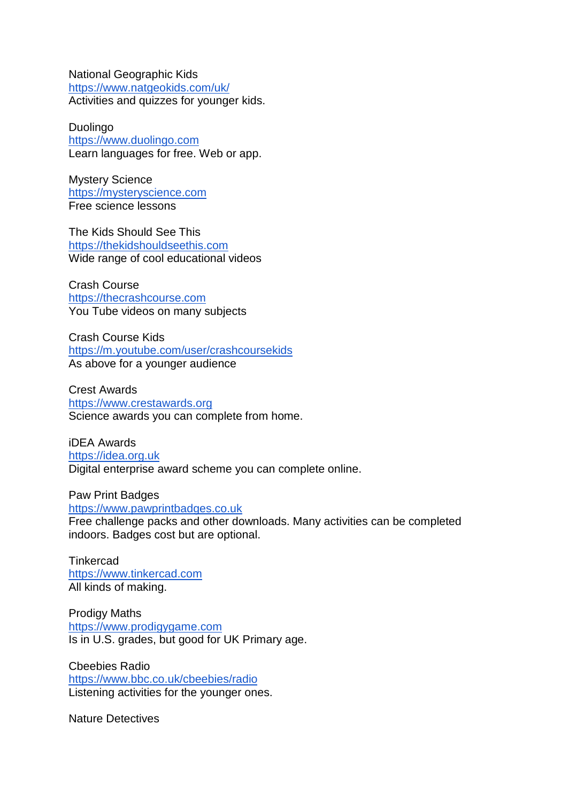National Geographic Kids <https://www.natgeokids.com/uk/> Activities and quizzes for younger kids.

Duolingo [https://www.duolingo.com](https://www.duolingo.com/) Learn languages for free. Web or app.

Mystery Science [https://mysteryscience.com](https://mysteryscience.com/) Free science lessons

The Kids Should See This [https://thekidshouldseethis.com](https://thekidshouldseethis.com/) Wide range of cool educational videos

Crash Course [https://thecrashcourse.com](https://thecrashcourse.com/) You Tube videos on many subjects

Crash Course Kids <https://m.youtube.com/user/crashcoursekids> As above for a younger audience

Crest Awards [https://www.crestawards.org](https://www.crestawards.org/) Science awards you can complete from home.

iDEA Awards [https://idea.org.uk](https://idea.org.uk/) Digital enterprise award scheme you can complete online.

Paw Print Badges [https://www.pawprintbadges.co.uk](https://www.pawprintbadges.co.uk/)

Free challenge packs and other downloads. Many activities can be completed indoors. Badges cost but are optional.

**Tinkercad** [https://www.tinkercad.com](https://www.tinkercad.com/) All kinds of making.

Prodigy Maths [https://www.prodigygame.com](https://www.prodigygame.com/) Is in U.S. grades, but good for UK Primary age.

Cbeebies Radio <https://www.bbc.co.uk/cbeebies/radio> Listening activities for the younger ones.

Nature Detectives